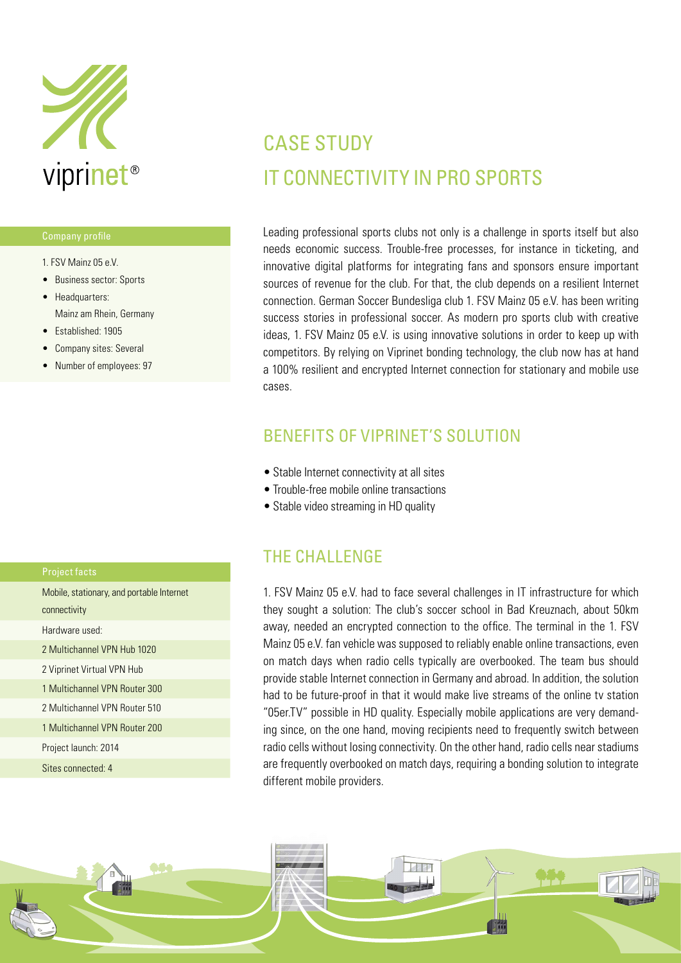

- 1. FSV Mainz 05 e.V.
- Business sector: Sports
- Headquarters: Mainz am Rhein, Germany
- Established: 1905
- Company sites: Several
- Number of employees: 97

| Mobile, stationary, and portable Internet |
|-------------------------------------------|
| connectivity                              |
| Hardware used:                            |
| 2 Multichannel VPN Hub 1020               |
| 2 Viprinet Virtual VPN Hub                |
| 1 Multichannel VPN Router 300             |
| 2 Multichannel VPN Router 510             |
| 1 Multichannel VPN Router 200             |
| Project launch: 2014                      |
|                                           |

Sites connected: 4

## CASE STUDY IT CONNECTIVITY IN PRO SPORTS

Leading professional sports clubs not only is a challenge in sports itself but also needs economic success. Trouble-free processes, for instance in ticketing, and innovative digital platforms for integrating fans and sponsors ensure important sources of revenue for the club. For that, the club depends on a resilient Internet connection. German Soccer Bundesliga club 1. FSV Mainz 05 e.V. has been writing success stories in professional soccer. As modern pro sports club with creative ideas, 1. FSV Mainz 05 e.V. is using innovative solutions in order to keep up with competitors. By relying on Viprinet bonding technology, the club now has at hand a 100% resilient and encrypted Internet connection for stationary and mobile use cases.

### BENEFITS OF VIPRINET'S SOLUTION

- Stable Internet connectivity at all sites
- Trouble-free mobile online transactions
- Stable video streaming in HD quality

### THE CHALLENGE

1. FSV Mainz 05 e.V. had to face several challenges in IT infrastructure for which they sought a solution: The club's soccer school in Bad Kreuznach, about 50km away, needed an encrypted connection to the office. The terminal in the 1. FSV Mainz 05 e.V. fan vehicle was supposed to reliably enable online transactions, even on match days when radio cells typically are overbooked. The team bus should provide stable Internet connection in Germany and abroad. In addition, the solution had to be future-proof in that it would make live streams of the online tv station "05er.TV" possible in HD quality. Especially mobile applications are very demanding since, on the one hand, moving recipients need to frequently switch between radio cells without losing connectivity. On the other hand, radio cells near stadiums are frequently overbooked on match days, requiring a bonding solution to integrate different mobile providers.